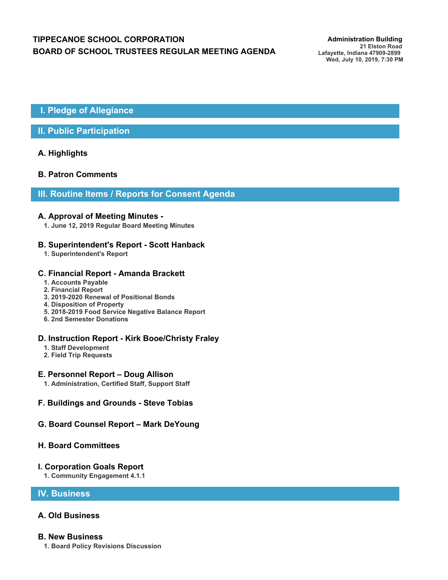# **TIPPECANOE SCHOOL CORPORATION** *Administration Building* **BOARD OF SCHOOL TRUSTEES REGULAR MEETING AGENDA**

**21 Elston Road Lafayette, Indiana 47909-2899 Wed, July 10, 2019, 7:30 PM**

# **I. Pledge of Allegiance**

# **II. Public Participation**

## **A. Highlights**

## **B. Patron Comments**

## **III. Routine Items / Reports for Consent Agenda**

#### **A. Approval of Meeting Minutes -**

**1. June 12, 2019 Regular Board Meeting Minutes**

## **B. Superintendent's Report - Scott Hanback**

**1. Superintendent's Report**

## **C. Financial Report - Amanda Brackett**

- **1. Accounts Payable**
- **2. Financial Report**
- **3. 2019-2020 Renewal of Positional Bonds**
- **4. Disposition of Property**
- **5. 2018-2019 Food Service Negative Balance Report**
- **6. 2nd Semester Donations**

## **D. Instruction Report - Kirk Booe/Christy Fraley**

- **1. Staff Development**
- **2. Field Trip Requests**

## **E. Personnel Report – Doug Allison**

- **1. Administration, Certified Staff, Support Staff**
- **F. Buildings and Grounds Steve Tobias**

## **G. Board Counsel Report – Mark DeYoung**

## **H. Board Committees**

#### **I. Corporation Goals Report**

**1. Community Engagement 4.1.1**

## **IV. Business**

# **A. Old Business**

#### **B. New Business**

**1. Board Policy Revisions Discussion**